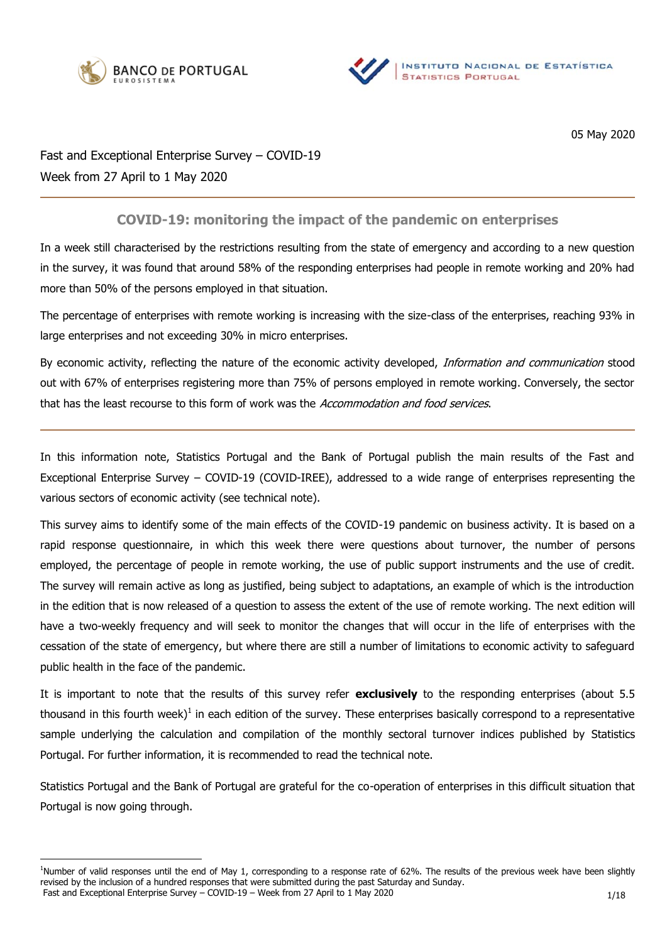



05 May 2020

Fast and Exceptional Enterprise Survey – COVID-19 Week from 27 April to 1 May 2020

## **COVID-19: monitoring the impact of the pandemic on enterprises**

In a week still characterised by the restrictions resulting from the state of emergency and according to a new question in the survey, it was found that around 58% of the responding enterprises had people in remote working and 20% had more than 50% of the persons employed in that situation.

The percentage of enterprises with remote working is increasing with the size-class of the enterprises, reaching 93% in large enterprises and not exceeding 30% in micro enterprises.

By economic activity, reflecting the nature of the economic activity developed, Information and communication stood out with 67% of enterprises registering more than 75% of persons employed in remote working. Conversely, the sector that has the least recourse to this form of work was the Accommodation and food services.

In this information note, Statistics Portugal and the Bank of Portugal publish the main results of the Fast and Exceptional Enterprise Survey – COVID-19 (COVID-IREE), addressed to a wide range of enterprises representing the various sectors of economic activity (see technical note).

This survey aims to identify some of the main effects of the COVID-19 pandemic on business activity. It is based on a rapid response questionnaire, in which this week there were questions about turnover, the number of persons employed, the percentage of people in remote working, the use of public support instruments and the use of credit. The survey will remain active as long as justified, being subject to adaptations, an example of which is the introduction in the edition that is now released of a question to assess the extent of the use of remote working. The next edition will have a two-weekly frequency and will seek to monitor the changes that will occur in the life of enterprises with the cessation of the state of emergency, but where there are still a number of limitations to economic activity to safeguard public health in the face of the pandemic.

It is important to note that the results of this survey refer **exclusively** to the responding enterprises (about 5.5 thousand in this fourth week)<sup>1</sup> in each edition of the survey. These enterprises basically correspond to a representative sample underlying the calculation and compilation of the monthly sectoral turnover indices published by Statistics Portugal. For further information, it is recommended to read the technical note.

Statistics Portugal and the Bank of Portugal are grateful for the co-operation of enterprises in this difficult situation that Portugal is now going through.

Fast and Exceptional Enterprise Survey – COVID-19 – Week from 27 April to 1 May 2020 <sup>1</sup>Number of valid responses until the end of May 1, corresponding to a response rate of 62%. The results of the previous week have been slightly revised by the inclusion of a hundred responses that were submitted during the past Saturday and Sunday.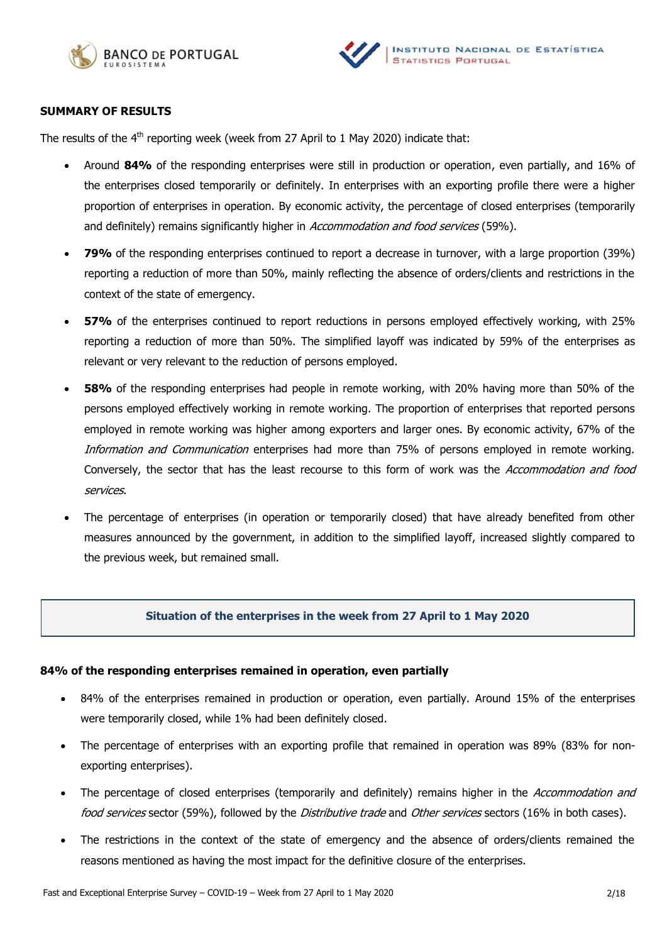



### **SUMMARY OF RESULTS**

The results of the  $4<sup>th</sup>$  reporting week (week from 27 April to 1 May 2020) indicate that:

- Around **84%** of the responding enterprises were still in production or operation, even partially, and 16% of the enterprises closed temporarily or definitely. In enterprises with an exporting profile there were a higher proportion of enterprises in operation. By economic activity, the percentage of closed enterprises (temporarily and definitely) remains significantly higher in Accommodation and food services (59%).
- **79%** of the responding enterprises continued to report a decrease in turnover, with a large proportion (39%) reporting a reduction of more than 50%, mainly reflecting the absence of orders/clients and restrictions in the context of the state of emergency.
- **57%** of the enterprises continued to report reductions in persons employed effectively working, with 25% reporting a reduction of more than 50%. The simplified layoff was indicated by 59% of the enterprises as relevant or very relevant to the reduction of persons employed.
- **58%** of the responding enterprises had people in remote working, with 20% having more than 50% of the persons employed effectively working in remote working. The proportion of enterprises that reported persons employed in remote working was higher among exporters and larger ones. By economic activity, 67% of the Information and Communication enterprises had more than 75% of persons employed in remote working. Conversely, the sector that has the least recourse to this form of work was the Accommodation and food services.
- The percentage of enterprises (in operation or temporarily closed) that have already benefited from other measures announced by the government, in addition to the simplified layoff, increased slightly compared to the previous week, but remained small.

### **Situation of the enterprises in the week from 27 April to 1 May 2020**

### **84% of the responding enterprises remained in operation, even partially**

- 84% of the enterprises remained in production or operation, even partially. Around 15% of the enterprises were temporarily closed, while 1% had been definitely closed.
- The percentage of enterprises with an exporting profile that remained in operation was 89% (83% for nonexporting enterprises).
- The percentage of closed enterprises (temporarily and definitely) remains higher in the Accommodation and food services sector (59%), followed by the Distributive trade and Other services sectors (16% in both cases).
- The restrictions in the context of the state of emergency and the absence of orders/clients remained the reasons mentioned as having the most impact for the definitive closure of the enterprises.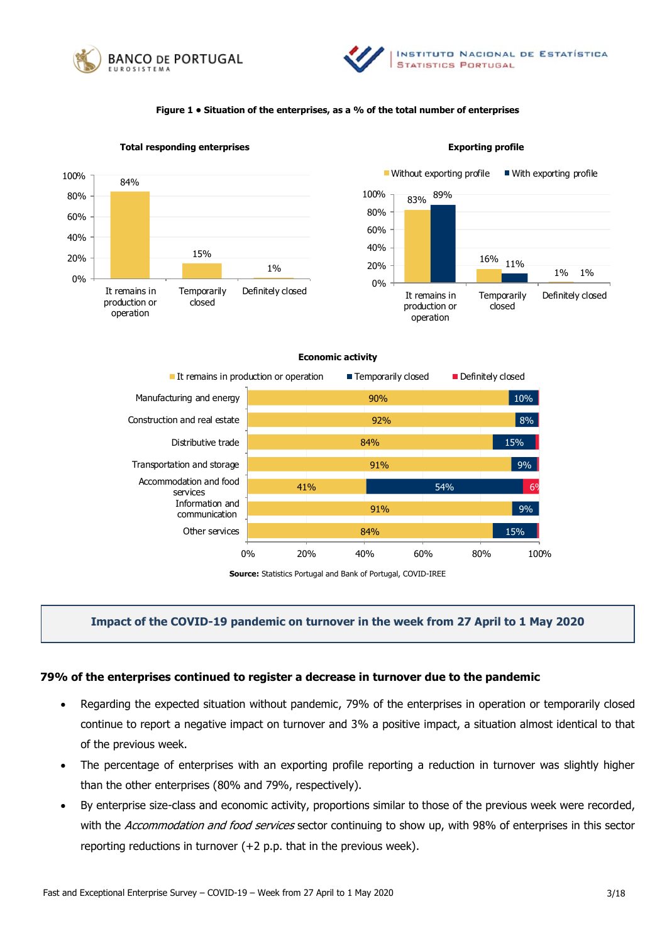



#### **Figure 1 • Situation of the enterprises, as a % of the total number of enterprises**



**Total responding enterprises Exporting profile**



#### **Economic activity**



**Source:** Statistics Portugal and Bank of Portugal, COVID-IREE

### **Impact of the COVID-19 pandemic on turnover in the week from 27 April to 1 May 2020**

#### **79% of the enterprises continued to register a decrease in turnover due to the pandemic**

- Regarding the expected situation without pandemic, 79% of the enterprises in operation or temporarily closed continue to report a negative impact on turnover and 3% a positive impact, a situation almost identical to that of the previous week.
- The percentage of enterprises with an exporting profile reporting a reduction in turnover was slightly higher than the other enterprises (80% and 79%, respectively).
- By enterprise size-class and economic activity, proportions similar to those of the previous week were recorded, with the Accommodation and food services sector continuing to show up, with 98% of enterprises in this sector reporting reductions in turnover (+2 p.p. that in the previous week).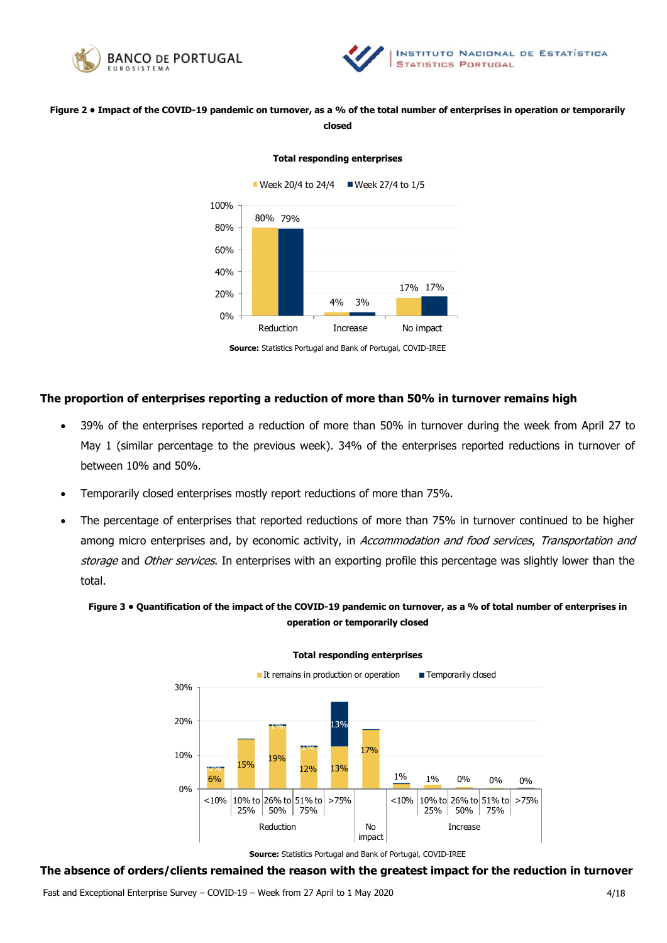



### **Figure 2 • Impact of the COVID-19 pandemic on turnover, as a % of the total number of enterprises in operation or temporarily closed**

#### **Total responding enterprises**



**Source:** Statistics Portugal and Bank of Portugal, COVID-IREE

### **The proportion of enterprises reporting a reduction of more than 50% in turnover remains high**

- 39% of the enterprises reported a reduction of more than 50% in turnover during the week from April 27 to May 1 (similar percentage to the previous week). 34% of the enterprises reported reductions in turnover of between 10% and 50%.
- Temporarily closed enterprises mostly report reductions of more than 75%.
- The percentage of enterprises that reported reductions of more than 75% in turnover continued to be higher among micro enterprises and, by economic activity, in Accommodation and food services, Transportation and storage and Other services. In enterprises with an exporting profile this percentage was slightly lower than the total.

### **Figure 3 • Quantification of the impact of the COVID-19 pandemic on turnover, as a % of total number of enterprises in operation or temporarily closed**



**Total responding enterprises**

**Source:** Statistics Portugal and Bank of Portugal, COVID-IREE

#### **The absence of orders/clients remained the reason with the greatest impact for the reduction in turnover**

Fast and Exceptional Enterprise Survey – COVID-19 – Week from 27 April to 1 May 2020 4/18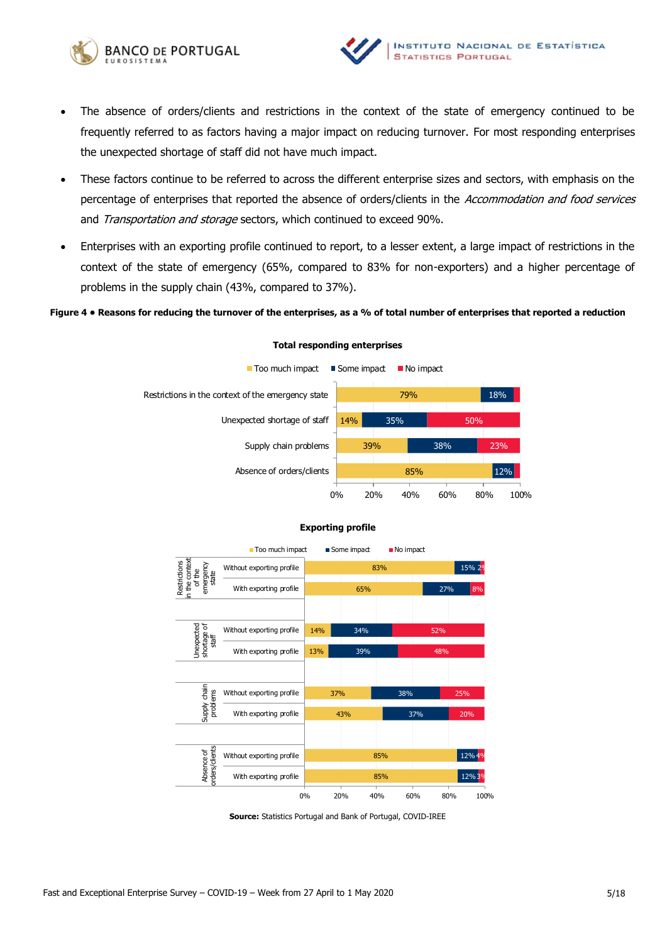



- The absence of orders/clients and restrictions in the context of the state of emergency continued to be frequently referred to as factors having a major impact on reducing turnover. For most responding enterprises the unexpected shortage of staff did not have much impact.
- These factors continue to be referred to across the different enterprise sizes and sectors, with emphasis on the percentage of enterprises that reported the absence of orders/clients in the Accommodation and food services and Transportation and storage sectors, which continued to exceed 90%.
- Enterprises with an exporting profile continued to report, to a lesser extent, a large impact of restrictions in the context of the state of emergency (65%, compared to 83% for non-exporters) and a higher percentage of problems in the supply chain (43%, compared to 37%).

#### **Figure 4 • Reasons for reducing the turnover of the enterprises, as a % of total number of enterprises that reported a reduction**



#### **Total responding enterprises**



### **Exporting profile**

**Source:** Statistics Portugal and Bank of Portugal, COVID-IREE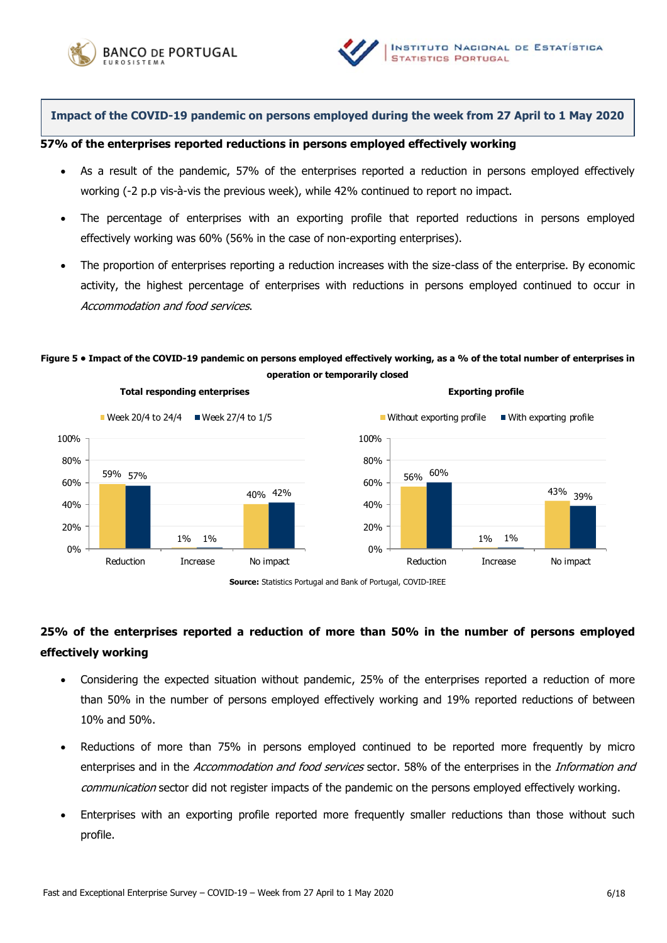



**Impact of the COVID-19 pandemic on persons employed during the week from 27 April to 1 May 2020**

### **57% of the enterprises reported reductions in persons employed effectively working**

- As a result of the pandemic, 57% of the enterprises reported a reduction in persons employed effectively working (-2 p.p vis-à-vis the previous week), while 42% continued to report no impact.
- The percentage of enterprises with an exporting profile that reported reductions in persons employed effectively working was 60% (56% in the case of non-exporting enterprises).
- The proportion of enterprises reporting a reduction increases with the size-class of the enterprise. By economic activity, the highest percentage of enterprises with reductions in persons employed continued to occur in Accommodation and food services.

### **Figure 5 • Impact of the COVID-19 pandemic on persons employed effectively working, as a % of the total number of enterprises in operation or temporarily closed**



**Total responding enterprises Exporting profile**



**Source:** Statistics Portugal and Bank of Portugal, COVID-IREE

# **25% of the enterprises reported a reduction of more than 50% in the number of persons employed effectively working**

- Considering the expected situation without pandemic, 25% of the enterprises reported a reduction of more than 50% in the number of persons employed effectively working and 19% reported reductions of between 10% and 50%.
- Reductions of more than 75% in persons employed continued to be reported more frequently by micro enterprises and in the Accommodation and food services sector. 58% of the enterprises in the Information and communication sector did not register impacts of the pandemic on the persons employed effectively working.
- Enterprises with an exporting profile reported more frequently smaller reductions than those without such profile.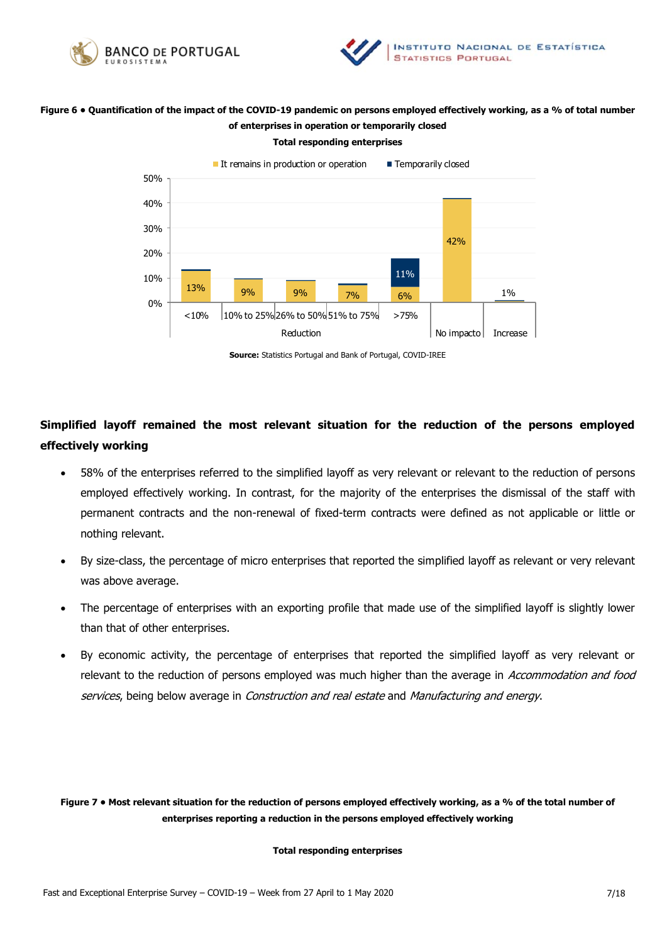



### **Figure 6 • Quantification of the impact of the COVID-19 pandemic on persons employed effectively working, as a % of total number of enterprises in operation or temporarily closed**

**Total responding enterprises** 



**Source:** Statistics Portugal and Bank of Portugal, COVID-IREE

# **Simplified layoff remained the most relevant situation for the reduction of the persons employed effectively working**

- 58% of the enterprises referred to the simplified layoff as very relevant or relevant to the reduction of persons employed effectively working. In contrast, for the majority of the enterprises the dismissal of the staff with permanent contracts and the non-renewal of fixed-term contracts were defined as not applicable or little or nothing relevant.
- By size-class, the percentage of micro enterprises that reported the simplified layoff as relevant or very relevant was above average.
- The percentage of enterprises with an exporting profile that made use of the simplified layoff is slightly lower than that of other enterprises.
- By economic activity, the percentage of enterprises that reported the simplified layoff as very relevant or relevant to the reduction of persons employed was much higher than the average in Accommodation and food services, being below average in *Construction and real estate* and *Manufacturing and energy*.

**Figure 7 • Most relevant situation for the reduction of persons employed effectively working, as a % of the total number of enterprises reporting a reduction in the persons employed effectively working** 

#### **Total responding enterprises**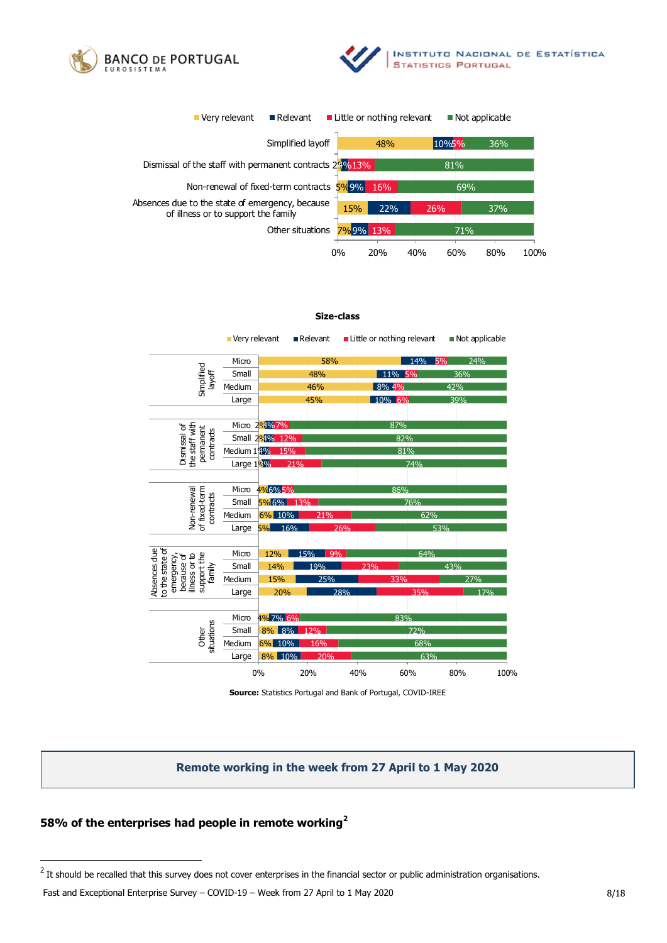





#### **Size-class**

|                                                                                                      | Very relevant |                  | $\blacksquare$ Relevant |     | ■ Little or nothing relevant |     | Not applicable |      |
|------------------------------------------------------------------------------------------------------|---------------|------------------|-------------------------|-----|------------------------------|-----|----------------|------|
| Simplified<br>layoff                                                                                 | Micro         | 58%              |                         |     | 24%<br>14% 5%                |     |                |      |
|                                                                                                      | Small         |                  | 48%                     |     | 11% 5%                       |     | 36%            |      |
|                                                                                                      | Medium        |                  | 46%                     |     | 8% 4%                        |     | 42%            |      |
|                                                                                                      | Large         |                  | 45%                     |     | 10% 6%                       |     | 39%            |      |
|                                                                                                      |               |                  |                         |     |                              |     |                |      |
| the staff with<br>Dismissal of<br>permanent<br>contracts                                             |               | Micro 294%7%     |                         |     | 87%                          |     |                |      |
|                                                                                                      |               | Small 294% 12%   |                         |     | 82%                          |     |                |      |
|                                                                                                      | Medium 1996   | 15%              |                         |     |                              | 81% |                |      |
|                                                                                                      | Large 1996    |                  | 21%                     |     |                              | 74% |                |      |
|                                                                                                      |               |                  |                         |     |                              |     |                |      |
|                                                                                                      | Micro         | 4%6%5%           |                         |     | 86%                          |     |                |      |
|                                                                                                      | Small         | 5% 6% 13%        |                         |     | 76%                          |     |                |      |
| of fixed-term<br>Non-renewal<br>contracts                                                            | Medium        | 6% 10%<br>21%    |                         |     |                              | 62% |                |      |
|                                                                                                      | Large         | 16%<br><b>5%</b> |                         | 26% |                              | 53% |                |      |
|                                                                                                      |               |                  |                         |     |                              |     |                |      |
| to the state of<br>Absences due<br>support the<br>illness or to<br>emergency<br>because of<br>family | Micro         | 12%              | 15%                     | 9%  |                              | 64% |                |      |
|                                                                                                      | Small         | 14%              | 19%                     |     | 23%                          |     | 43%            |      |
|                                                                                                      | Medium        | 15%              | 25%                     |     | 33%                          |     | 27%            |      |
|                                                                                                      | Large         | 20%              |                         | 28% |                              | 35% | 17%            |      |
|                                                                                                      |               |                  |                         |     |                              |     |                |      |
| situations<br>Other                                                                                  | Micro         | 4% 7% 6%         |                         |     | 83%                          |     |                |      |
|                                                                                                      | Small         | 8% 8%            | 12%                     |     |                              | 72% |                |      |
|                                                                                                      | Medium        | 6% 10%           | 16%                     |     |                              | 68% |                |      |
|                                                                                                      | Large         | 8% 10%           | 20%                     |     |                              | 63% |                |      |
|                                                                                                      |               | 0%               | 20%                     | 40% |                              | 60% | 80%            | 100% |

**Source:** Statistics Portugal and Bank of Portugal, COVID-IREE

### **Remote working in the week from 27 April to 1 May 2020**

### **58% of the enterprises had people in remote working<sup>2</sup>**

 $^2$  It should be recalled that this survey does not cover enterprises in the financial sector or public administration organisations.

Fast and Exceptional Enterprise Survey – COVID-19 – Week from 27 April to 1 May 2020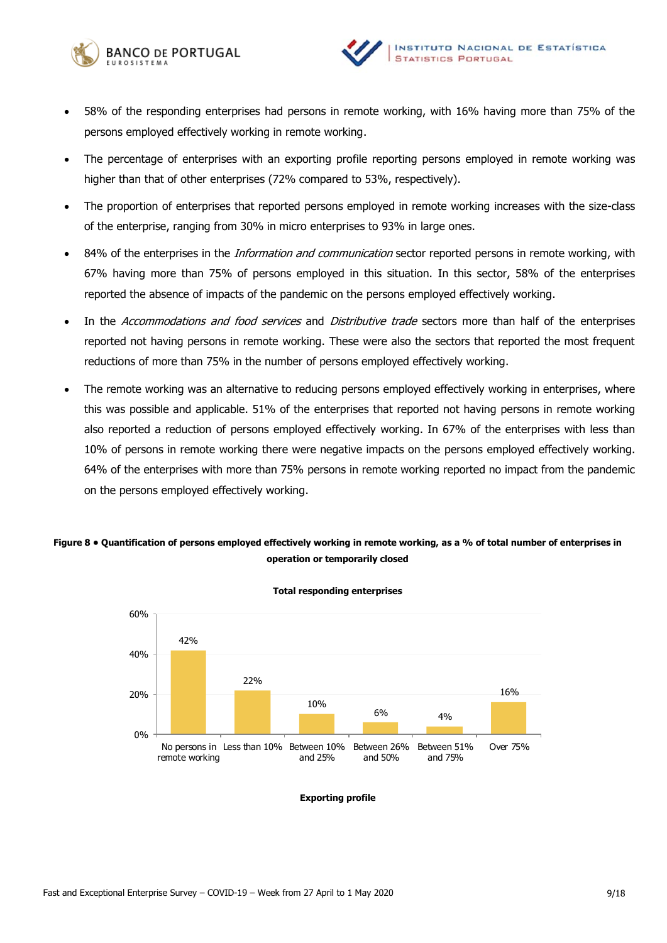



- 58% of the responding enterprises had persons in remote working, with 16% having more than 75% of the persons employed effectively working in remote working.
- The percentage of enterprises with an exporting profile reporting persons employed in remote working was higher than that of other enterprises (72% compared to 53%, respectively).
- The proportion of enterprises that reported persons employed in remote working increases with the size-class of the enterprise, ranging from 30% in micro enterprises to 93% in large ones.
- 84% of the enterprises in the *Information and communication* sector reported persons in remote working, with 67% having more than 75% of persons employed in this situation. In this sector, 58% of the enterprises reported the absence of impacts of the pandemic on the persons employed effectively working.
- In the Accommodations and food services and Distributive trade sectors more than half of the enterprises reported not having persons in remote working. These were also the sectors that reported the most frequent reductions of more than 75% in the number of persons employed effectively working.
- The remote working was an alternative to reducing persons employed effectively working in enterprises, where this was possible and applicable. 51% of the enterprises that reported not having persons in remote working also reported a reduction of persons employed effectively working. In 67% of the enterprises with less than 10% of persons in remote working there were negative impacts on the persons employed effectively working. 64% of the enterprises with more than 75% persons in remote working reported no impact from the pandemic on the persons employed effectively working.

### **Figure 8 • Quantification of persons employed effectively working in remote working, as a % of total number of enterprises in operation or temporarily closed**



**Total responding enterprises** 

**Exporting profile**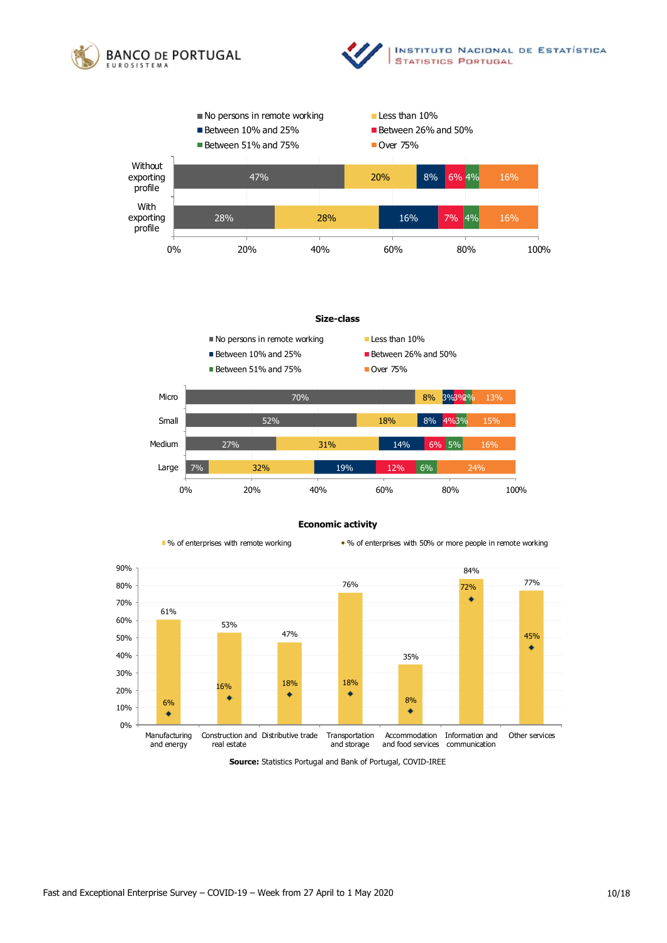







#### **Economic activity**



■ % of enterprises with remote working \* % of enterprises with 50% or more people in remote working



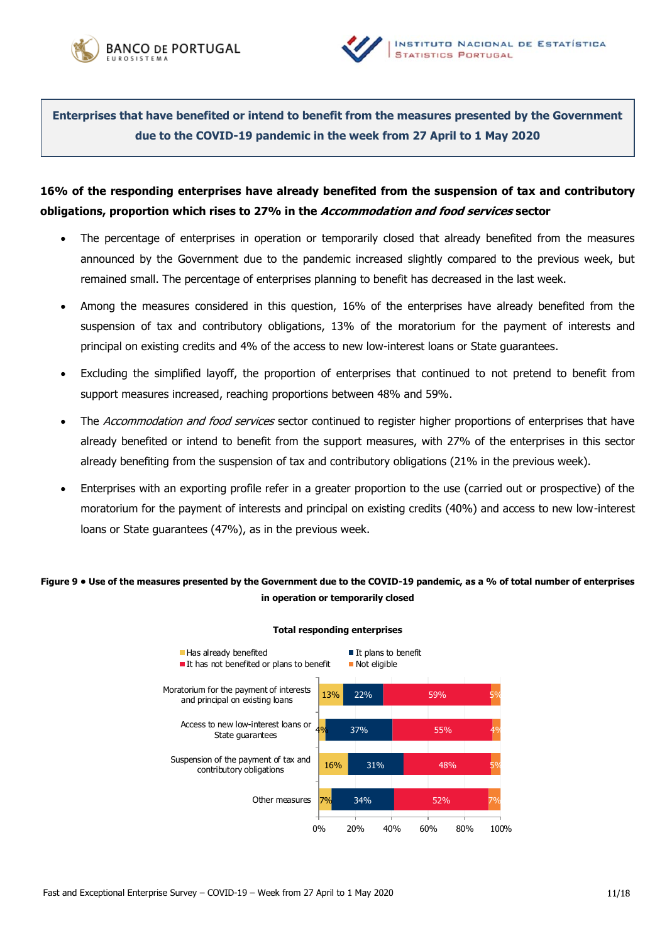



**Enterprises that have benefited or intend to benefit from the measures presented by the Government due to the COVID-19 pandemic in the week from 27 April to 1 May 2020**

# **16% of the responding enterprises have already benefited from the suspension of tax and contributory obligations, proportion which rises to 27% in the Accommodation and food services sector**

- The percentage of enterprises in operation or temporarily closed that already benefited from the measures announced by the Government due to the pandemic increased slightly compared to the previous week, but remained small. The percentage of enterprises planning to benefit has decreased in the last week.
- Among the measures considered in this question, 16% of the enterprises have already benefited from the suspension of tax and contributory obligations, 13% of the moratorium for the payment of interests and principal on existing credits and 4% of the access to new low-interest loans or State guarantees.
- Excluding the simplified layoff, the proportion of enterprises that continued to not pretend to benefit from support measures increased, reaching proportions between 48% and 59%.
- The *Accommodation and food services* sector continued to register higher proportions of enterprises that have already benefited or intend to benefit from the support measures, with 27% of the enterprises in this sector already benefiting from the suspension of tax and contributory obligations (21% in the previous week).
- Enterprises with an exporting profile refer in a greater proportion to the use (carried out or prospective) of the moratorium for the payment of interests and principal on existing credits (40%) and access to new low-interest loans or State guarantees (47%), as in the previous week.

### **Figure 9 • Use of the measures presented by the Government due to the COVID-19 pandemic, as a % of total number of enterprises in operation or temporarily closed**



#### **Total responding enterprises**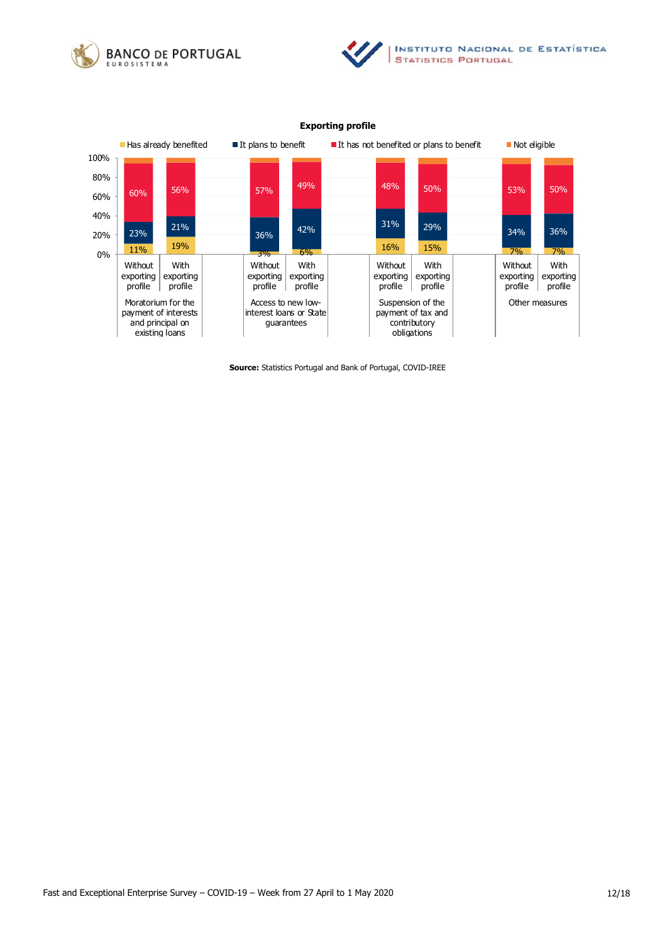





### **Exporting profile**

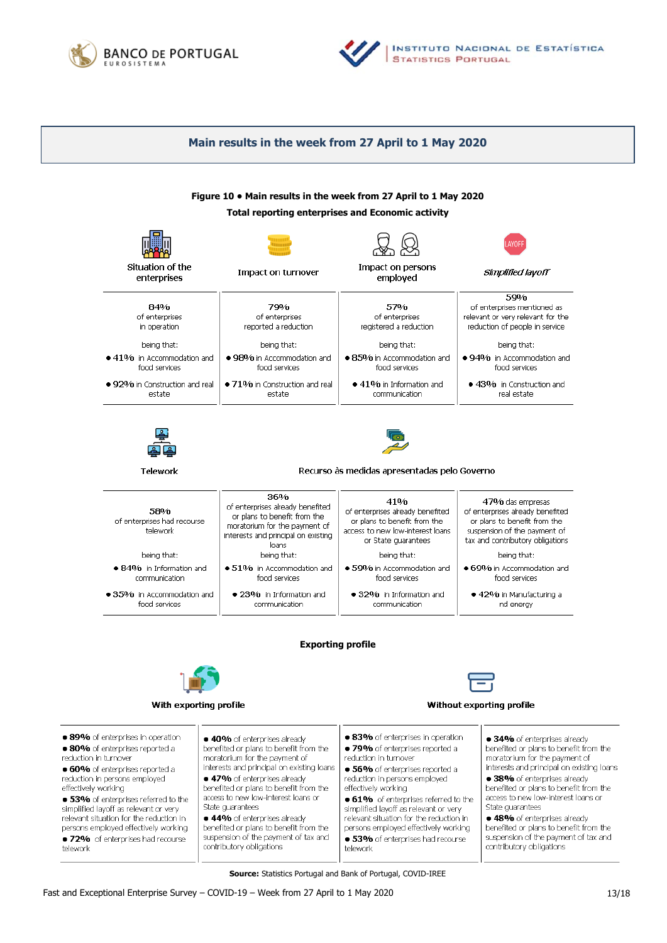



### **Main results in the week from 27 April to 1 May 2020**



**Source:** Statistics Portugal and Bank of Portugal, COVID-IREE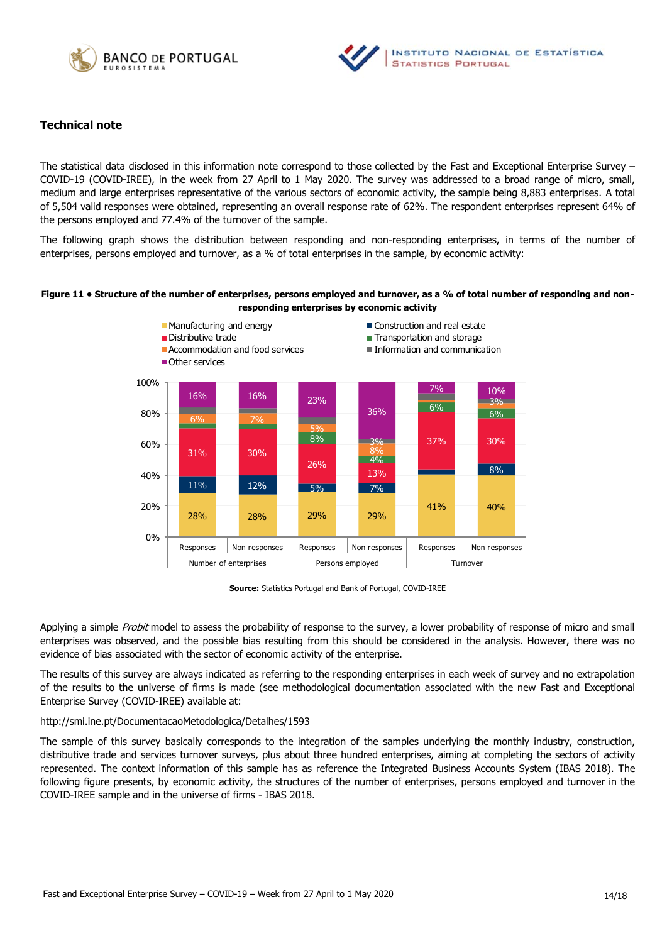



### **Technical note**

The statistical data disclosed in this information note correspond to those collected by the Fast and Exceptional Enterprise Survey – COVID-19 (COVID-IREE), in the week from 27 April to 1 May 2020. The survey was addressed to a broad range of micro, small, medium and large enterprises representative of the various sectors of economic activity, the sample being 8,883 enterprises. A total of 5,504 valid responses were obtained, representing an overall response rate of 62%. The respondent enterprises represent 64% of the persons employed and 77.4% of the turnover of the sample.

The following graph shows the distribution between responding and non-responding enterprises, in terms of the number of enterprises, persons employed and turnover, as a % of total enterprises in the sample, by economic activity:

#### **Figure 11 • Structure of the number of enterprises, persons employed and turnover, as a % of total number of responding and nonresponding enterprises by economic activity**



**Source:** Statistics Portugal and Bank of Portugal, COVID-IREE

Applying a simple Probit model to assess the probability of response to the survey, a lower probability of response of micro and small enterprises was observed, and the possible bias resulting from this should be considered in the analysis. However, there was no evidence of bias associated with the sector of economic activity of the enterprise.

The results of this survey are always indicated as referring to the responding enterprises in each week of survey and no extrapolation of the results to the universe of firms is made (see methodological documentation associated with the new Fast and Exceptional Enterprise Survey (COVID-IREE) available at:

#### <http://smi.ine.pt/DocumentacaoMetodologica/Detalhes/1593>

The sample of this survey basically corresponds to the integration of the samples underlying the monthly industry, construction, distributive trade and services turnover surveys, plus about three hundred enterprises, aiming at completing the sectors of activity represented. The context information of this sample has as reference the Integrated Business Accounts System (IBAS 2018). The following figure presents, by economic activity, the structures of the number of enterprises, persons employed and turnover in the COVID-IREE sample and in the universe of firms - IBAS 2018.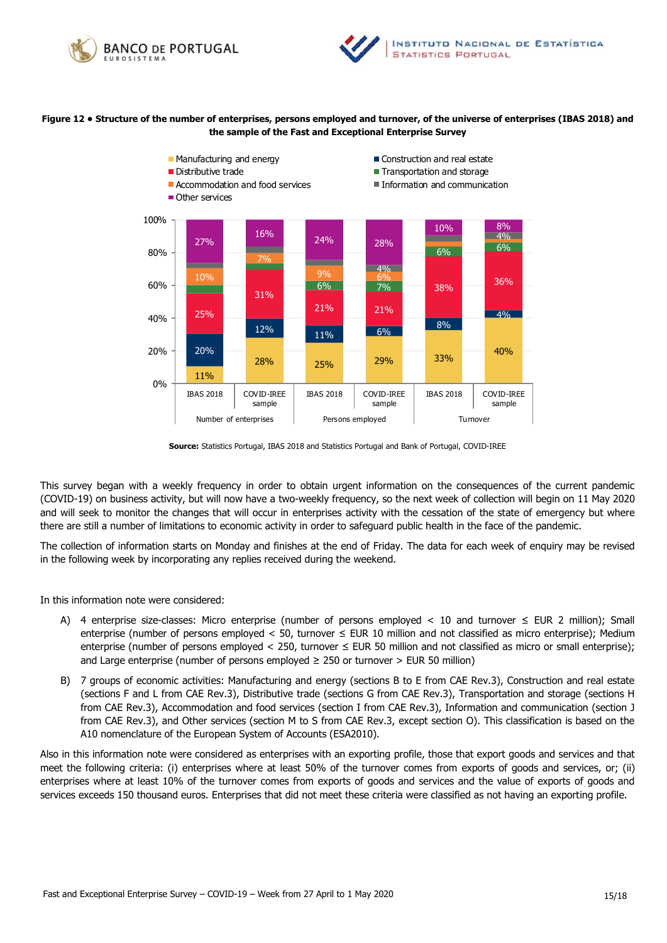



### **Figure 12 • Structure of the number of enterprises, persons employed and turnover, of the universe of enterprises (IBAS 2018) and the sample of the Fast and Exceptional Enterprise Survey**



**Source:** Statistics Portugal, IBAS 2018 and Statistics Portugal and Bank of Portugal, COVID-IREE

This survey began with a weekly frequency in order to obtain urgent information on the consequences of the current pandemic (COVID-19) on business activity, but will now have a two-weekly frequency, so the next week of collection will begin on 11 May 2020 and will seek to monitor the changes that will occur in enterprises activity with the cessation of the state of emergency but where there are still a number of limitations to economic activity in order to safeguard public health in the face of the pandemic.

The collection of information starts on Monday and finishes at the end of Friday. The data for each week of enquiry may be revised in the following week by incorporating any replies received during the weekend.

In this information note were considered:

- A) 4 enterprise size-classes: Micro enterprise (number of persons employed < 10 and turnover  $\leq$  EUR 2 million); Small enterprise (number of persons employed < 50, turnover  $\leq$  EUR 10 million and not classified as micro enterprise); Medium enterprise (number of persons employed < 250, turnover ≤ EUR 50 million and not classified as micro or small enterprise); and Large enterprise (number of persons employed  $\geq$  250 or turnover  $>$  EUR 50 million)
- B) 7 groups of economic activities: Manufacturing and energy (sections B to E from CAE Rev.3), Construction and real estate (sections F and L from CAE Rev.3), Distributive trade (sections G from CAE Rev.3), Transportation and storage (sections H from CAE Rev.3), Accommodation and food services (section I from CAE Rev.3), Information and communication (section J from CAE Rev.3), and Other services (section M to S from CAE Rev.3, except section O). This classification is based on the A10 nomenclature of the European System of Accounts (ESA2010).

Also in this information note were considered as enterprises with an exporting profile, those that export goods and services and that meet the following criteria: (i) enterprises where at least 50% of the turnover comes from exports of goods and services, or; (ii) enterprises where at least 10% of the turnover comes from exports of goods and services and the value of exports of goods and services exceeds 150 thousand euros. Enterprises that did not meet these criteria were classified as not having an exporting profile.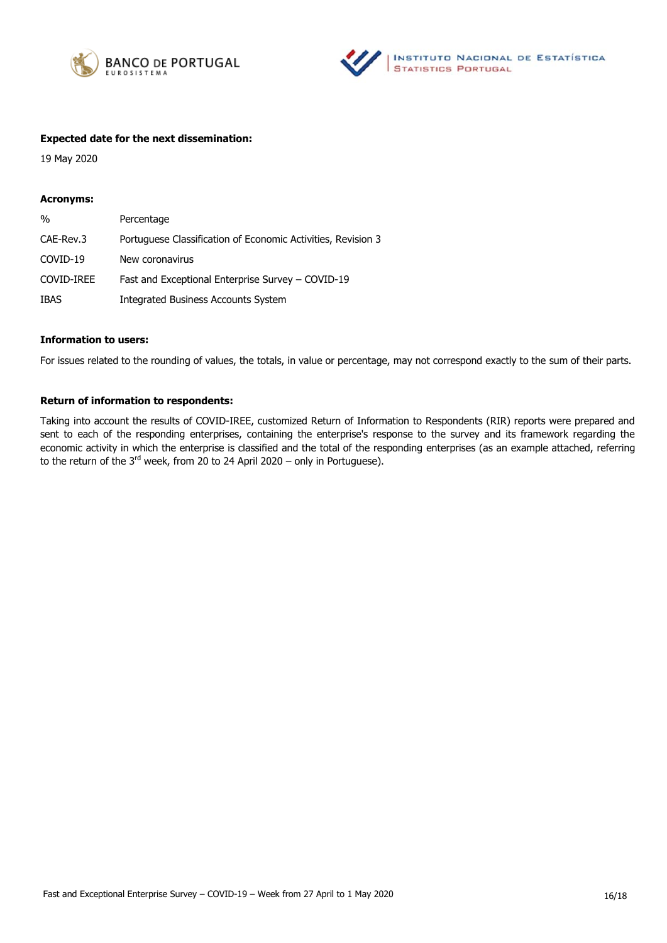



### **Expected date for the next dissemination:**

19 May 2020

#### **Acronyms:**

| $\frac{0}{0}$ | Percentage                                                   |
|---------------|--------------------------------------------------------------|
| CAE-Rev.3     | Portuguese Classification of Economic Activities, Revision 3 |
| COVID-19      | New coronavirus                                              |
| COVID-IREE    | Fast and Exceptional Enterprise Survey – COVID-19            |
| <b>IBAS</b>   | <b>Integrated Business Accounts System</b>                   |

### **Information to users:**

For issues related to the rounding of values, the totals, in value or percentage, may not correspond exactly to the sum of their parts.

### **Return of information to respondents:**

Taking into account the results of COVID-IREE, customized Return of Information to Respondents (RIR) reports were prepared and sent to each of the responding enterprises, containing the enterprise's response to the survey and its framework regarding the economic activity in which the enterprise is classified and the total of the responding enterprises (as an example attached, referring to the return of the  $3<sup>rd</sup>$  week, from 20 to 24 April 2020 – only in Portuguese).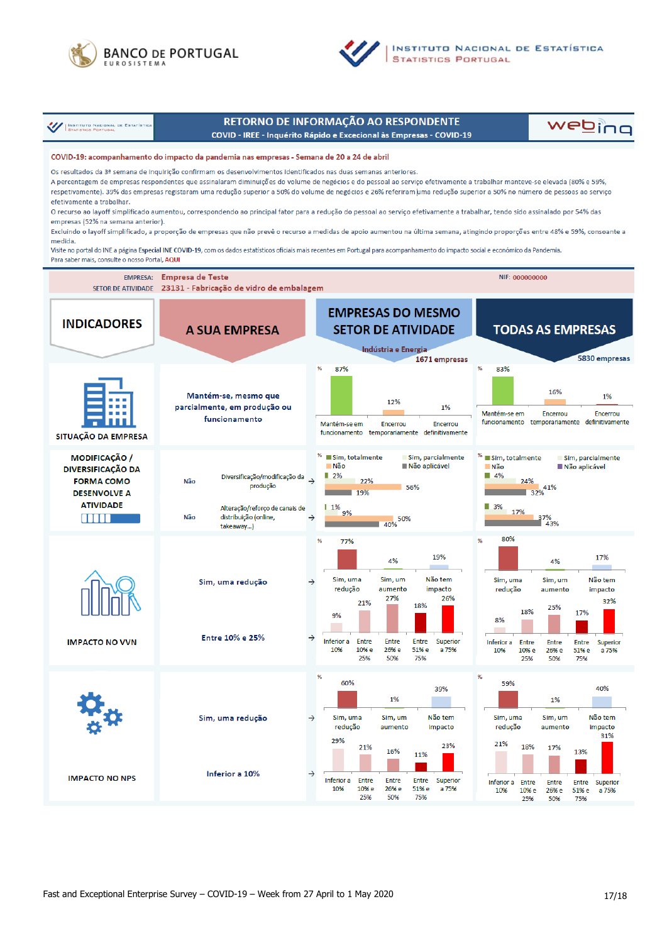



**INSTITUTO NACIONAL DE ESTATÍSTICA STATISTICS PORTUGAL** 

**///** INSTITUTO NACIONAL DE ESTATÍST

# RETORNO DE INFORMAÇÃO AO RESPONDENTE

COVID - IREE - Inquérito Rápido e Excecional às Empresas - COVID-19

webing

#### COVID-19: acompanhamento do impacto da pandemia nas empresas - Semana de 20 a 24 de abril

Os resultados da 3ª semana de inquirição confirmam os desenvolvimentos identificados nas duas semanas anteriores A percentagem de empresas respondentes que assinalaram diminuições do volume de negócios e do pessoal ao serviço efetivamente a trabalhar manteve-se elevada (80% e 59%, respetivamente). 39% das empresas registaram uma redução superior a 50% do volume de negócios e 26% referiram uma redução superior a 50% no número de pessoas ao serviço efetivamente a trabalhar.

O recurso ao layoff simplificado aumentou, correspondendo ao principal fator para a redução do pessoal ao serviço efetivamente a trabalhar, tendo sido assinalado por 54% das empresas (52% na semana anterior).

Excluindo o lavoff simplificado, a proporção de empresas que não prevê o recurso a medidas de apoio aumentou na última semana, atingindo proporções entre 48% e 59%, consoante a medida.

Visite no portal do INE a página Especial INE COVID-19, com os dados estatísticos oficiais mais recentes em Portugal para acompanhamento do impacto social e económico da Pandemia. Para saber mais, consulte o nosso Portal, AQUI